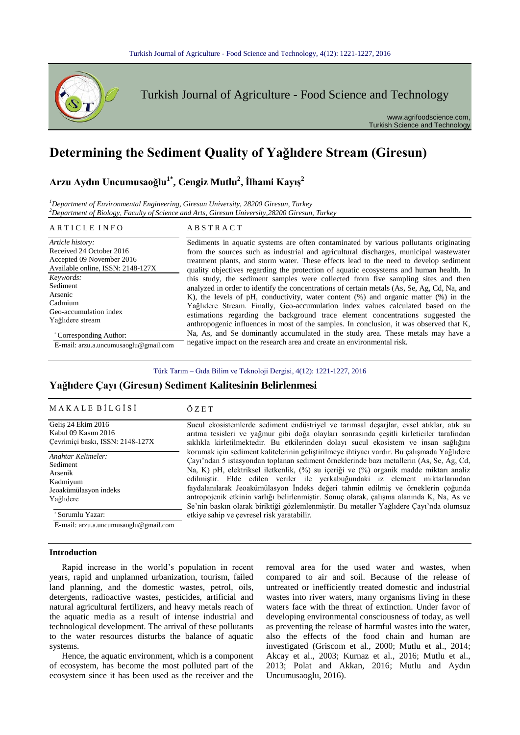

# **Determining the Sediment Quality of Yağlıdere Stream (Giresun)**

**Arzu Aydın Uncumusaoğlu1\*, Cengiz Mutlu<sup>2</sup> , İlhami Kayış<sup>2</sup>**

*<sup>1</sup>Department of Environmental Engineering, Giresun University, 28200 Giresun, Turkey <sup>2</sup>Department of Biology, Faculty of Science and Arts, Giresun University,28200 Giresun, Turkey*

#### ARTICLE INFO ABSTRACT

*Article history:* Received 24 October 2016 Accepted 09 November 2016 Available online, ISSN: 2148-127X Sediments in aquatic systems are often contaminated by various pollutants originating from the sources such as industrial and agricultural discharges, municipal wastewater treatment plants, and storm water. These effects lead to the need to develop sediment quality objectives regarding the protection of aquatic ecosystems and human health. In this study, the sediment samples were collected from five sampling sites and then analyzed in order to identify the concentrations of certain metals (As, Se, Ag, Cd, Na, and K), the levels of pH, conductivity, water content (%) and organic matter (%) in the Yağlıdere Stream. Finally, Geo-accumulation index values calculated based on the estimations regarding the background trace element concentrations suggested the anthropogenic influences in most of the samples. In conclusion, it was observed that K, Na, As, and Se dominantly accumulated in the study area. These metals may have a negative impact on the research area and create an environmental risk. *Keywords:* Sediment Arsenic Cadmium Geo-accumulation index Yağlıdere stream \* Corresponding Author: E-mail: arzu.a.uncumusaoglu@gmail.com

Türk Tarım – Gıda Bilim ve Teknoloji Dergisi, 4(12): 1221-1227, 2016

## **Yağlıdere Çayı (Giresun) Sediment Kalitesinin Belirlenmesi**

| <b>MAKALE BİLGİSİ</b>            | ÖZET                                                                                       |
|----------------------------------|--------------------------------------------------------------------------------------------|
| Gelis 24 Ekim 2016               | Sucul ekosistemlerde sediment endüstriyel ve tarımsal deşarjlar, evsel atıklar, atık su    |
| Kabul 09 Kasım 2016              | arıtma tesisleri ve yağmur gibi doğa olayları sonrasında çeşitli kirleticiler tarafından   |
| Cevrimici baskı, ISSN: 2148-127X | sıklıkla kirletilmektedir. Bu etkilerinden dolayı sucul ekosistem ve insan sağlığını       |
| Anahtar Kelimeler:               | korumak için sediment kalitelerinin geliştirilmeye ihtiyacı vardır. Bu çalışmada Yağlıdere |
| Sediment                         | Cayı'ndan 5 istasyondan toplanan sediment örneklerinde bazı metallerin (As, Se, Ag, Cd,    |
| Arsenik                          | Na, K) pH, elektriksel iletkenlik, (%) su içeriği ve (%) organik madde miktarı analiz      |
| Kadmiyum                         | edilmiştir. Elde edilen veriler ile yerkabuğundaki iz element miktarlarından               |
| Jeoakümülasyon indeks            | faydalanılarak Jeoakümülasyon İndeks değeri tahmin edilmiş ve örneklerin çoğunda           |
| Yağlıdere                        | antropojenik etkinin varlığı belirlenmiştir. Sonuç olarak, çalışma alanında K, Na, As ve   |

etkiye sahip ve çevresel risk yaratabilir.

Sorumlu Yazar:

E-mail: arzu.a.uncumusaoglu@gmail.com

#### **Introduction**

Rapid increase in the world's population in recent years, rapid and unplanned urbanization, tourism, failed land planning, and the domestic wastes, petrol, oils, detergents, radioactive wastes, pesticides, artificial and natural agricultural fertilizers, and heavy metals reach of the aquatic media as a result of intense industrial and technological development. The arrival of these pollutants to the water resources disturbs the balance of aquatic systems.

Hence, the aquatic environment, which is a component of ecosystem, has become the most polluted part of the ecosystem since it has been used as the receiver and the

removal area for the used water and wastes, when compared to air and soil. Because of the release of untreated or inefficiently treated domestic and industrial wastes into river waters, many organisms living in these waters face with the threat of extinction. Under favor of developing environmental consciousness of today, as well as preventing the release of harmful wastes into the water, also the effects of the food chain and human are investigated (Griscom et al., 2000; Mutlu et al., 2014; Akcay et al., 2003; Kurnaz et al., 2016; Mutlu et al., 2013; Polat and Akkan, 2016; Mutlu and Aydın Uncumusaoglu, 2016).

Se'nin baskın olarak biriktiği gözlemlenmiştir. Bu metaller Yağlıdere Çayı'nda olumsuz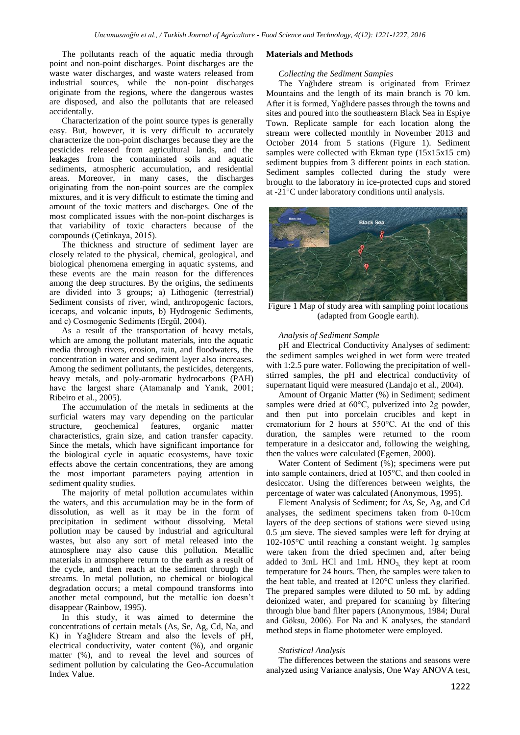The pollutants reach of the aquatic media through point and non-point discharges. Point discharges are the waste water discharges, and waste waters released from industrial sources, while the non-point discharges originate from the regions, where the dangerous wastes are disposed, and also the pollutants that are released accidentally.

Characterization of the point source types is generally easy. But, however, it is very difficult to accurately characterize the non-point discharges because they are the pesticides released from agricultural lands, and the leakages from the contaminated soils and aquatic sediments, atmospheric accumulation, and residential areas. Moreover, in many cases, the discharges originating from the non-point sources are the complex mixtures, and it is very difficult to estimate the timing and amount of the toxic matters and discharges. One of the most complicated issues with the non-point discharges is that variability of toxic characters because of the compounds (Çetinkaya, 2015).

The thickness and structure of sediment layer are closely related to the physical, chemical, geological, and biological phenomena emerging in aquatic systems, and these events are the main reason for the differences among the deep structures. By the origins, the sediments are divided into 3 groups; a) Lithogenic (terrestrial) Sediment consists of river, wind, anthropogenic factors, icecaps, and volcanic inputs, b) Hydrogenic Sediments, and c) Cosmogenic Sediments (Ergül, 2004).

As a result of the transportation of heavy metals, which are among the pollutant materials, into the aquatic media through rivers, erosion, rain, and floodwaters, the concentration in water and sediment layer also increases. Among the sediment pollutants, the pesticides, detergents, heavy metals, and poly-aromatic hydrocarbons (PAH) have the largest share (Atamanalp and Yanık, 2001; Ribeiro et al., 2005).

The accumulation of the metals in sediments at the surficial waters may vary depending on the particular structure, geochemical features, organic matter characteristics, grain size, and cation transfer capacity. Since the metals, which have significant importance for the biological cycle in aquatic ecosystems, have toxic effects above the certain concentrations, they are among the most important parameters paying attention in sediment quality studies.

The majority of metal pollution accumulates within the waters, and this accumulation may be in the form of dissolution, as well as it may be in the form of precipitation in sediment without dissolving. Metal pollution may be caused by industrial and agricultural wastes, but also any sort of metal released into the atmosphere may also cause this pollution. Metallic materials in atmosphere return to the earth as a result of the cycle, and then reach at the sediment through the streams. In metal pollution, no chemical or biological degradation occurs; a metal compound transforms into another metal compound, but the metallic ion doesn't disappear (Rainbow, 1995).

In this study, it was aimed to determine the concentrations of certain metals (As, Se, Ag, Cd, Na, and K) in Yağlıdere Stream and also the levels of pH, electrical conductivity, water content (%), and organic matter (%), and to reveal the level and sources of sediment pollution by calculating the Geo-Accumulation Index Value.

#### **Materials and Methods**

#### *Collecting the Sediment Samples*

The Yağlıdere stream is originated from Erimez Mountains and the length of its main branch is 70 km. After it is formed, Yağlıdere passes through the towns and sites and poured into the southeastern Black Sea in Espiye Town. Replicate sample for each location along the stream were collected monthly in November 2013 and October 2014 from 5 stations (Figure 1). Sediment samples were collected with Ekman type (15x15x15 cm) sediment buppies from 3 different points in each station. Sediment samples collected during the study were brought to the laboratory in ice-protected cups and stored at -21°C under laboratory conditions until analysis.



Figure 1 Map of study area with sampling point locations (adapted from Google earth).

#### *Analysis of Sediment Sample*

pH and Electrical Conductivity Analyses of sediment: the sediment samples weighed in wet form were treated with 1:2.5 pure water. Following the precipitation of wellstirred samples, the pH and electrical conductivity of supernatant liquid were measured (Landajo et al., 2004).

Amount of Organic Matter (%) in Sediment; sediment samples were dried at 60°C, pulverized into 2g powder, and then put into porcelain crucibles and kept in crematorium for 2 hours at 550°C. At the end of this duration, the samples were returned to the room temperature in a desiccator and, following the weighing, then the values were calculated (Egemen, 2000).

Water Content of Sediment (%); specimens were put into sample containers, dried at 105°C, and then cooled in desiccator. Using the differences between weights, the percentage of water was calculated (Anonymous, 1995).

Element Analysis of Sediment; for As, Se, Ag, and Cd analyses, the sediment specimens taken from 0-10cm layers of the deep sections of stations were sieved using 0.5 μm sieve. The sieved samples were left for drying at 102-105°C until reaching a constant weight. 1g samples were taken from the dried specimen and, after being added to 3mL HCl and 1mL  $HNO<sub>3</sub>$ , they kept at room temperature for 24 hours. Then, the samples were taken to the heat table, and treated at 120°C unless they clarified. The prepared samples were diluted to 50 mL by adding deionized water, and prepared for scanning by filtering through blue band filter papers (Anonymous, 1984; Dural and Göksu, 2006). For Na and K analyses, the standard method steps in flame photometer were employed.

#### *Statistical Analysis*

The differences between the stations and seasons were analyzed using Variance analysis, One Way ANOVA test,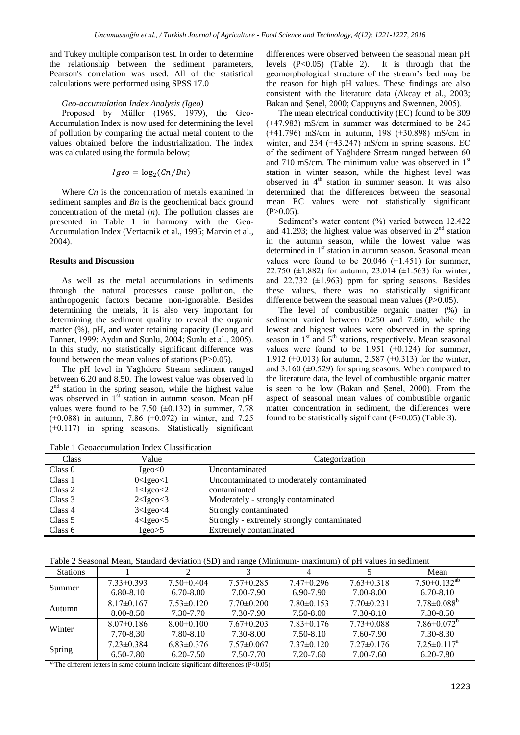and Tukey multiple comparison test. In order to determine the relationship between the sediment parameters, Pearson's correlation was used. All of the statistical calculations were performed using SPSS 17.0

### *Geo-accumulation Index Analysis (Igeo)*

Proposed by Müller (1969, 1979), the Geo-Accumulation Index is now used for determining the level of pollution by comparing the actual metal content to the values obtained before the industrialization. The index was calculated using the formula below;

$$
Igeo = \log_2(Cn/Bn)
$$

Where *Cn* is the concentration of metals examined in sediment samples and *Bn* is the geochemical back ground concentration of the metal (*n*). The pollution classes are presented in Table 1 in harmony with the Geo-Accumulation Index (Vertacnik et al., 1995; Marvin et al., 2004).

#### **Results and Discussion**

As well as the metal accumulations in sediments through the natural processes cause pollution, the anthropogenic factors became non-ignorable. Besides determining the metals, it is also very important for determining the sediment quality to reveal the organic matter (%), pH, and water retaining capacity (Leong and Tanner, 1999; Aydın and Sunlu, 2004; Sunlu et al., 2005). In this study, no statistically significant difference was found between the mean values of stations  $(P>0.05)$ .

The pH level in Yağlıdere Stream sediment ranged between 6.20 and 8.50. The lowest value was observed in  $2<sup>nd</sup>$  station in the spring season, while the highest value was observed in  $1<sup>st</sup>$  station in autumn season. Mean pH values were found to be 7.50  $(\pm 0.132)$  in summer, 7.78  $(\pm 0.088)$  in autumn, 7.86  $(\pm 0.072)$  in winter, and 7.25  $(\pm 0.117)$  in spring seasons. Statistically significant

differences were observed between the seasonal mean pH levels (P<0.05) (Table 2). It is through that the geomorphological structure of the stream's bed may be the reason for high pH values. These findings are also consistent with the literature data (Akcay et al., 2003; Bakan and Şenel, 2000; Cappuyns and Swennen, 2005).

The mean electrical conductivity (EC) found to be 309 (±47.983) mS/cm in summer was determined to be 245 (±41.796) mS/cm in autumn, 198 (±30.898) mS/cm in winter, and 234 ( $\pm$ 43.247) mS/cm in spring seasons. EC of the sediment of Yağlıdere Stream ranged between 60 and 710 mS/cm. The minimum value was observed in  $1<sup>st</sup>$ station in winter season, while the highest level was observed in 4<sup>th</sup> station in summer season. It was also determined that the differences between the seasonal mean EC values were not statistically significant  $(P>0.05)$ .

Sediment's water content (%) varied between 12.422 and 41.293; the highest value was observed in  $2<sup>nd</sup>$  station in the autumn season, while the lowest value was determined in 1<sup>st</sup> station in autumn season. Seasonal mean values were found to be  $20.046$  ( $\pm$ 1.451) for summer, 22.750 ( $\pm$ 1.882) for autumn, 23.014 ( $\pm$ 1.563) for winter, and 22.732 (±1.963) ppm for spring seasons. Besides these values, there was no statistically significant difference between the seasonal mean values (P>0.05).

The level of combustible organic matter (%) in sediment varied between 0.250 and 7.600, while the lowest and highest values were observed in the spring season in  $1<sup>st</sup>$  and  $5<sup>th</sup>$  stations, respectively. Mean seasonal values were found to be 1.951 ( $\pm$ 0.124) for summer, 1.912 ( $\pm$ 0.013) for autumn, 2.587 ( $\pm$ 0.313) for the winter, and  $3.160$  ( $\pm 0.529$ ) for spring seasons. When compared to the literature data, the level of combustible organic matter is seen to be low (Bakan and Şenel, 2000). From the aspect of seasonal mean values of combustible organic matter concentration in sediment, the differences were found to be statistically significant (P<0.05) (Table 3).

Table 1 Geoaccumulation Index Classification

| <b>Class</b> | Value            | Categorization                             |
|--------------|------------------|--------------------------------------------|
| Class 0      | Igeo<0           | Uncontaminated                             |
| Class 1      | $0 <$ Igeo $<$ 1 | Uncontaminated to moderately contaminated  |
| Class 2      | $1 <$ Igeo $<$ 2 | contaminated                               |
| Class 3      | $2 <$ Igeo $<$ 3 | Moderately - strongly contaminated         |
| Class 4      | $3 <$ Igeo $<$ 4 | Strongly contaminated                      |
| Class 5      | $4 <$ Igeo $<$ 5 | Strongly - extremely strongly contaminated |
| Class 6      | Igeo>5           | Extremely contaminated                     |

Table 2 Seasonal Mean, Standard deviation (SD) and range (Minimum- maximum) of pH values in sediment

| <b>Stations</b> |                  |                  |                  | 4              |                  | Mean                           |
|-----------------|------------------|------------------|------------------|----------------|------------------|--------------------------------|
| Summer          | $7.33 \pm 0.393$ | $7.50\pm0.404$   | $7.57 \pm 0.285$ | $7.47\pm0.296$ | $7.63 \pm 0.318$ | $7.50 \pm 0.132$ <sup>ab</sup> |
|                 | $6.80 - 8.10$    | $6.70 - 8.00$    | 7.00-7.90        | 6.90-7.90      | 7.00-8.00        | $6.70 - 8.10$                  |
|                 | $8.17\pm0.167$   | $7.53 \pm 0.120$ | $7.70 \pm 0.200$ | $7.80\pm0.153$ | $7.70 \pm 0.231$ | $7.78 \pm 0.088^{\circ}$       |
| Autumn          | 8.00-8.50        | 7.30-7.70        | 7.30-7.90        | 7.50-8.00      | 7.30-8.10        | 7.30-8.50                      |
| Winter          | $8.07 \pm 0.186$ | $8.00 \pm 0.100$ | $7.67\pm0.203$   | $7.83\pm0.176$ | $7.73 \pm 0.088$ | $7.86 \pm 0.072$ <sup>b</sup>  |
|                 | 7,70-8,30        | 7.80-8.10        | 7.30-8.00        | 7.50-8.10      | 7.60-7.90        | 7.30-8.30                      |
| Spring          | $7.23 \pm 0.384$ | $6.83 \pm 0.376$ | $7.57\pm0.067$   | $7.37\pm0.120$ | $7.27\pm0.176$   | $7.25 \pm 0.117^{\text{a}}$    |
|                 | $6.50 - 7.80$    | $6.20 - 7.50$    | 7.50-7.70        | 7.20-7.60      | 7.00-7.60        | $6.20 - 7.80$                  |

 $\rm{^{b}The}$  different letters in same column indicate significant differences (P<0.05)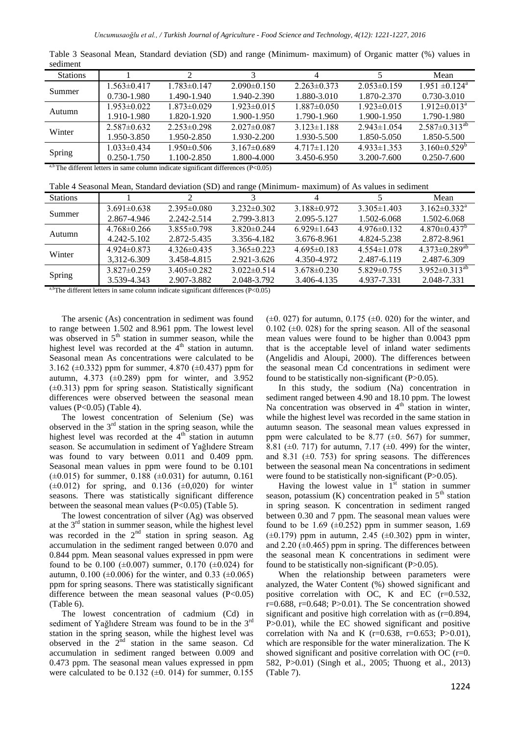| suunun          |                   |                                                                    |                   |                   |                   |                                |
|-----------------|-------------------|--------------------------------------------------------------------|-------------------|-------------------|-------------------|--------------------------------|
| <b>Stations</b> |                   |                                                                    |                   |                   |                   | Mean                           |
| Summer          | $1.563 \pm 0.417$ | $1.783 \pm 0.147$                                                  | $2.090\pm0.150$   | $2.263 \pm 0.373$ | $2.053\pm0.159$   | $1.951 \pm 0.124$ <sup>a</sup> |
|                 | 0.730-1.980       | 1.490-1.940                                                        | 1.940-2.390       | 1.880-3.010       | 1.870-2.370       | 0.730-3.010                    |
|                 | $1.953 \pm 0.022$ | $1.873 \pm 0.029$                                                  | $1.923 \pm 0.015$ | $1.887 \pm 0.050$ | $1.923 \pm 0.015$ | $1.912 \pm 0.013^a$            |
| Autumn          | 1.910-1.980       | 1.820-1.920                                                        | 1.900-1.950       | 1.790-1.960       | 1.900-1.950       | 1.790-1.980                    |
| Winter          | $2.587 \pm 0.632$ | $2.253\pm0.298$                                                    | $2.027\pm0.087$   | $3.123 \pm 1.188$ | $2.943 \pm 1.054$ | $2.587 \pm 0.313^{ab}$         |
|                 | 1.950-3.850       | 1.950-2.850                                                        | 1.930-2.200       | 1.930-5.500       | 1.850-5.050       | 1.850-5.500                    |
| Spring          | $1.033 \pm 0.434$ | $1.950\pm0.506$                                                    | $3.167 \pm 0.689$ | $4.717\pm1.120$   | $4.933 \pm 1.353$ | $3.160\pm0.529^{\circ}$        |
|                 | $0.250 - 1.750$   | 1.100-2.850                                                        | 1.800-4.000       | 3.450-6.950       | 3.200-7.600       | 0.250-7.600                    |
|                 |                   | about the state of the state of the state of $\alpha$ and $\alpha$ |                   |                   |                   |                                |

Table 3 Seasonal Mean, Standard deviation (SD) and range (Minimum- maximum) of Organic matter (%) values in sediment

The different letters in same column indicate significant differences (P<0.05)

Table 4 Seasonal Mean, Standard deviation (SD) and range (Minimum- maximum) of As values in sediment

| <b>Stations</b> |                   |                   |                   |                   |                   | Mean                            |
|-----------------|-------------------|-------------------|-------------------|-------------------|-------------------|---------------------------------|
| Summer          | $3.691\pm0.638$   | $2.395\pm0.080$   | $3.232\pm0.302$   | $3.188\pm0.972$   | $3.305 \pm 1.403$ | $3.162 \pm 0.332^a$             |
|                 | 2.867-4.946       | 2.242-2.514       | 2.799-3.813       | 2.095-5.127       | 1.502-6.068       | 1.502-6.068                     |
| Autumn          | $4.768 \pm 0.266$ | $3.855\pm0.798$   | $3.820\pm0.244$   | $6.929 \pm 1.643$ | $4.976\pm0.132$   | $4.870\pm0.437^b$               |
|                 | 4.242-5.102       | 2.872-5.435       | 3.356-4.182       | 3.676-8.961       | 4.824-5.238       | 2.872-8.961                     |
| Winter          | $4.924\pm0.873$   | $4.326\pm0.435$   | $3.365\pm0.223$   | $4.695\pm0.183$   | $4.554\pm1.078$   | $4.373 \pm 0.289$ <sup>ab</sup> |
|                 | 3.312-6.309       | 3.458-4.815       | 2.921-3.626       | 4.350-4.972       | 2.487-6.119       | 2.487-6.309                     |
|                 | $3.827 \pm 0.259$ | $3.405 \pm 0.282$ | $3.022 \pm 0.514$ | $3.678 \pm 0.230$ | $5.829 \pm 0.755$ | $3.952 \pm 0.313^{ab}$          |
| Spring          | 3.539-4.343       | 2.907-3.882       | 2.048-3.792       | 3.406-4.135       | 4.937-7.331       | 2.048-7.331                     |

<sup>a,b</sup>The different letters in same column indicate significant differences ( $P < 0.05$ )

The arsenic (As) concentration in sediment was found to range between 1.502 and 8.961 ppm. The lowest level was observed in  $5<sup>th</sup>$  station in summer season, while the highest level was recorded at the  $4<sup>th</sup>$  station in autumn. Seasonal mean As concentrations were calculated to be 3.162 (±0.332) ppm for summer, 4.870 (±0.437) ppm for autumn,  $4.373$  ( $\pm 0.289$ ) ppm for winter, and  $3.952$  $(\pm 0.313)$  ppm for spring season. Statistically significant differences were observed between the seasonal mean values (P<0.05) (Table 4).

The lowest concentration of Selenium (Se) was observed in the  $3<sup>rd</sup>$  station in the spring season, while the highest level was recorded at the  $4<sup>th</sup>$  station in autumn season. Se accumulation in sediment of Yağlıdere Stream was found to vary between 0.011 and 0.409 ppm. Seasonal mean values in ppm were found to be 0.101  $(\pm 0.015)$  for summer, 0.188 ( $\pm 0.031$ ) for autumn, 0.161  $(\pm 0.012)$  for spring, and 0.136  $(\pm 0.020)$  for winter seasons. There was statistically significant difference between the seasonal mean values  $(P<0.05)$  (Table 5).

The lowest concentration of silver (Ag) was observed at the  $3<sup>rd</sup>$  station in summer season, while the highest level was recorded in the  $2<sup>nd</sup>$  station in spring season. Ag accumulation in the sediment ranged between 0.070 and 0.844 ppm. Mean seasonal values expressed in ppm were found to be 0.100 ( $\pm$ 0.007) summer, 0.170 ( $\pm$ 0.024) for autumn,  $0.100$  ( $\pm 0.006$ ) for the winter, and  $0.33$  ( $\pm 0.065$ ) ppm for spring seasons. There was statistically significant difference between the mean seasonal values  $(P<0.05)$ (Table 6).

The lowest concentration of cadmium (Cd) in sediment of Yağlıdere Stream was found to be in the  $3<sup>rd</sup>$ station in the spring season, while the highest level was observed in the  $2<sup>nd</sup>$  station in the same season. Cd accumulation in sediment ranged between 0.009 and 0.473 ppm. The seasonal mean values expressed in ppm were calculated to be  $0.132$  ( $\pm 0.014$ ) for summer,  $0.155$   $(\pm 0.027)$  for autumn, 0.175  $(\pm 0.020)$  for the winter, and 0.102 ( $\pm$ 0.028) for the spring season. All of the seasonal mean values were found to be higher than 0.0043 ppm that is the acceptable level of inland water sediments (Angelidis and Aloupi, 2000). The differences between the seasonal mean Cd concentrations in sediment were found to be statistically non-significant  $(P>0.05)$ .

In this study, the sodium (Na) concentration in sediment ranged between 4.90 and 18.10 ppm. The lowest Na concentration was observed in  $4<sup>th</sup>$  station in winter, while the highest level was recorded in the same station in autumn season. The seasonal mean values expressed in ppm were calculated to be 8.77  $(\pm 0.567)$  for summer, 8.81 ( $\pm$ 0. 717) for autumn, 7.17 ( $\pm$ 0. 499) for the winter, and 8.31 ( $\pm$ 0. 753) for spring seasons. The differences between the seasonal mean Na concentrations in sediment were found to be statistically non-significant (P>0.05).

Having the lowest value in  $1<sup>st</sup>$  station in summer season, potassium  $(K)$  concentration peaked in  $5<sup>th</sup>$  station in spring season. K concentration in sediment ranged between 0.30 and 7 ppm. The seasonal mean values were found to be 1.69  $(\pm 0.252)$  ppm in summer season, 1.69  $(\pm 0.179)$  ppm in autumn, 2.45  $(\pm 0.302)$  ppm in winter, and  $2.20$  ( $\pm 0.465$ ) ppm in spring. The differences between the seasonal mean K concentrations in sediment were found to be statistically non-significant  $(P>0.05)$ .

When the relationship between parameters were analyzed, the Water Content (%) showed significant and positive correlation with OC, K and EC (r=0.532, r=0.688, r=0.648; P>0.01). The Se concentration showed significant and positive high correlation with as  $(r=0.894,$ P>0.01), while the EC showed significant and positive correlation with Na and K ( $r=0.638$ ,  $r=0.653$ ; P $>0.01$ ), which are responsible for the water mineralization. The K showed significant and positive correlation with OC (r=0. 582, P>0.01) (Singh et al., 2005; Thuong et al., 2013) (Table 7).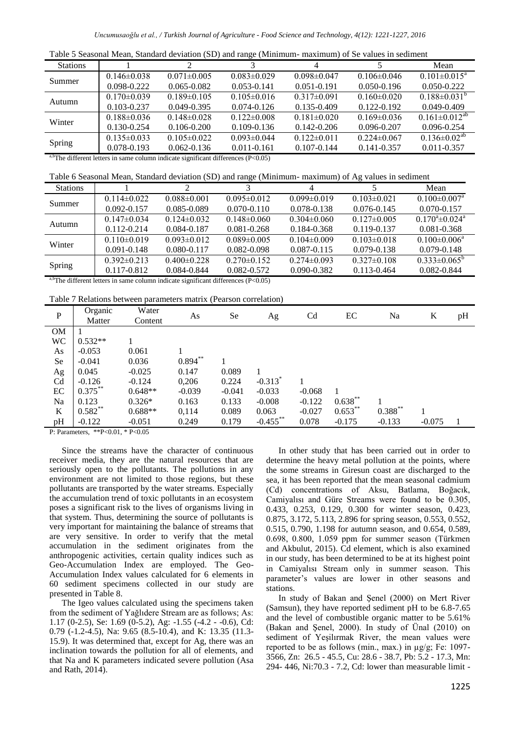| <b>Stations</b>            |                   |                   |                   |                   |                   | Mean                   |
|----------------------------|-------------------|-------------------|-------------------|-------------------|-------------------|------------------------|
| Summer                     | $0.146 \pm 0.038$ | $0.071 \pm 0.005$ | $0.083 \pm 0.029$ | $0.098 \pm 0.047$ | $0.106 \pm 0.046$ | $0.101 \pm 0.015^a$    |
|                            | $0.098 - 0.222$   | $0.065 - 0.082$   | $0.053 - 0.141$   | $0.051 - 0.191$   | $0.050 - 0.196$   | $0.050 - 0.222$        |
| Autumn                     | $0.170 \pm 0.039$ | $0.189 \pm 0.105$ | $0.105 \pm 0.016$ | $0.317\pm0.091$   | $0.160 \pm 0.020$ | $0.188 \pm 0.031^{b}$  |
|                            | $0.103 - 0.237$   | $0.049 - 0.395$   | $0.074 - 0.126$   | $0.135 - 0.409$   | $0.122 - 0.192$   | $0.049 - 0.409$        |
| Winter                     | $0.188 \pm 0.036$ | $0.148 \pm 0.028$ | $0.122 \pm 0.008$ | $0.181 \pm 0.020$ | $0.169 \pm 0.036$ | $0.161 \pm 0.012^{ab}$ |
|                            | $0.130 - 0.254$   | $0.106 - 0.200$   | $0.109 - 0.136$   | $0.142 - 0.206$   | $0.096 - 0.207$   | $0.096 - 0.254$        |
| Spring                     | $0.135 \pm 0.033$ | $0.105 \pm 0.022$ | $0.093 \pm 0.044$ | $0.122 \pm 0.011$ | $0.224 \pm 0.067$ | $0.136 \pm 0.02^{ab}$  |
|                            | $0.078 - 0.193$   | $0.062 - 0.136$   | $0.011 - 0.161$   | $0.107 - 0.144$   | $0.141 - 0.357$   | $0.011 - 0.357$        |
| a h <del>ren</del><br>1.00 |                   | $\sim$ 1.00       | $(1)$ $(1)$       |                   |                   |                        |

 $a$ ,bThe different letters in same column indicate significant differences (P<0.05)

| <b>Stations</b> |                   |                   |                   | 4                 |                   | Mean                           |
|-----------------|-------------------|-------------------|-------------------|-------------------|-------------------|--------------------------------|
|                 | $0.114\pm0.022$   | $0.088 \pm 0.001$ | $0.095 \pm 0.012$ | $0.099 \pm 0.019$ | $0.103 \pm 0.021$ | $0.100 \pm 0.007$ <sup>a</sup> |
| Summer          | $0.092 - 0.157$   | 0.085-0.089       | $0.070 - 0.110$   | $0.078 - 0.138$   | $0.076 - 0.145$   | $0.070 - 0.157$                |
| Autumn          | $0.147 \pm 0.034$ | $0.124\pm0.032$   | $0.148 \pm 0.060$ | $0.304\pm0.060$   | $0.127\pm0.005$   | $0.170^a \pm 0.024^a$          |
|                 | $0.112 - 0.214$   | 0.084-0.187       | $0.081 - 0.268$   | 0.184-0.368       | $0.119 - 0.137$   | $0.081 - 0.368$                |
| Winter          | $0.110\pm0.019$   | $0.093 \pm 0.012$ | $0.089 \pm 0.005$ | $0.104\pm0.009$   | $0.103 \pm 0.018$ | $0.100 \pm 0.006^a$            |
|                 | $0.091 - 0.148$   | $0.080 - 0.117$   | 0.082-0.098       | $0.087 - 0.115$   | $0.079 - 0.138$   | $0.079 - 0.148$                |
| Spring          | $0.392 \pm 0.213$ | $0.400 \pm 0.228$ | $0.270 \pm 0.152$ | $0.274\pm0.093$   | $0.327\pm0.108$   | $0.333 \pm 0.065^b$            |
|                 | $0.117 - 0.812$   | 0.084-0.844       | $0.082 - 0.572$   | $0.090 - 0.382$   | $0.113 - 0.464$   | 0.082-0.844                    |

<sup>a,b</sup>The different letters in same column indicate significant differences ( $P < 0.05$ )

Table 7 Relations between parameters matrix (Pearson correlation)

|             | $1.4012 + 1.101410110$<br>between parameters matrix (I carson correlation) |                  |            |          |             |                |            |            |          |    |
|-------------|----------------------------------------------------------------------------|------------------|------------|----------|-------------|----------------|------------|------------|----------|----|
| $\mathbf P$ | Organic<br>Matter                                                          | Water<br>Content | As         | Se       | Ag          | C <sub>d</sub> | EC         | Na         | K        | pH |
| <b>OM</b>   |                                                                            |                  |            |          |             |                |            |            |          |    |
| <b>WC</b>   | $0.532**$                                                                  |                  |            |          |             |                |            |            |          |    |
| As          | $-0.053$                                                                   | 0.061            |            |          |             |                |            |            |          |    |
| Se          | $-0.041$                                                                   | 0.036            | $0.894***$ |          |             |                |            |            |          |    |
| Ag          | 0.045                                                                      | $-0.025$         | 0.147      | 0.089    |             |                |            |            |          |    |
| Cd          | $-0.126$                                                                   | $-0.124$         | 0,206      | 0.224    | $-0.313*$   |                |            |            |          |    |
| EC          | $0.375***$                                                                 | $0.648**$        | $-0.039$   | $-0.041$ | $-0.033$    | $-0.068$       |            |            |          |    |
| Na          | 0.123                                                                      | $0.326*$         | 0.163      | 0.133    | $-0.008$    | $-0.122$       | $0.638***$ |            |          |    |
| K           | $0.582**$                                                                  | $0.688**$        | 0,114      | 0.089    | 0.063       | $-0.027$       | $0.653***$ | $0.388***$ |          |    |
| pH          | $-0.122$                                                                   | $-0.051$         | 0.249      | 0.179    | $-0.455$ ** | 0.078          | $-0.175$   | $-0.133$   | $-0.075$ |    |

P: Parameters, \*\*P<0.01, \* P<0.05

Since the streams have the character of continuous receiver media, they are the natural resources that are seriously open to the pollutants. The pollutions in any environment are not limited to those regions, but these pollutants are transported by the water streams. Especially the accumulation trend of toxic pollutants in an ecosystem poses a significant risk to the lives of organisms living in that system. Thus, determining the source of pollutants is very important for maintaining the balance of streams that are very sensitive. In order to verify that the metal accumulation in the sediment originates from the anthropogenic activities, certain quality indices such as Geo-Accumulation Index are employed. The Geo-Accumulation Index values calculated for 6 elements in 60 sediment specimens collected in our study are presented in Table 8.

The Igeo values calculated using the specimens taken from the sediment of Yağlıdere Stream are as follows; As: 1.17 (0-2.5), Se: 1.69 (0-5.2), Ag: -1.55 (-4.2 - -0.6), Cd: 0.79 (-1.2-4.5), Na: 9.65 (8.5-10.4), and K: 13.35 (11.3- 15.9). It was determined that, except for Ag, there was an inclination towards the pollution for all of elements, and that Na and K parameters indicated severe pollution (Asa and Rath, 2014).

In other study that has been carried out in order to determine the heavy metal pollution at the points, where the some streams in Giresun coast are discharged to the sea, it has been reported that the mean seasonal cadmium (Cd) concentrations of Aksu, Batlama, Boğacık, Camiyalısı and Güre Streams were found to be 0.305, 0.433, 0.253, 0.129, 0.300 for winter season, 0.423, 0.875, 3.172, 5.113, 2.896 for spring season, 0.553, 0.552, 0.515, 0.790, 1.198 for autumn season, and 0.654, 0.589, 0.698, 0.800, 1.059 ppm for summer season (Türkmen and Akbulut, 2015). Cd element, which is also examined in our study, has been determined to be at its highest point in Camiyalısı Stream only in summer season. This parameter's values are lower in other seasons and stations.

In study of Bakan and Şenel (2000) on Mert River (Samsun), they have reported sediment pH to be 6.8-7.65 and the level of combustible organic matter to be 5.61% (Bakan and Şenel, 2000). In study of Ünal (2010) on sediment of Yeşilırmak River, the mean values were reported to be as follows (min., max.) in  $\mu$ g/g; Fe: 1097-3566, Zn: 26.5 - 45.5, Cu: 28.6 - 38.7, Pb: 5.2 - 17.3, Mn: 294- 446, Ni:70.3 - 7.2, Cd: lower than measurable limit -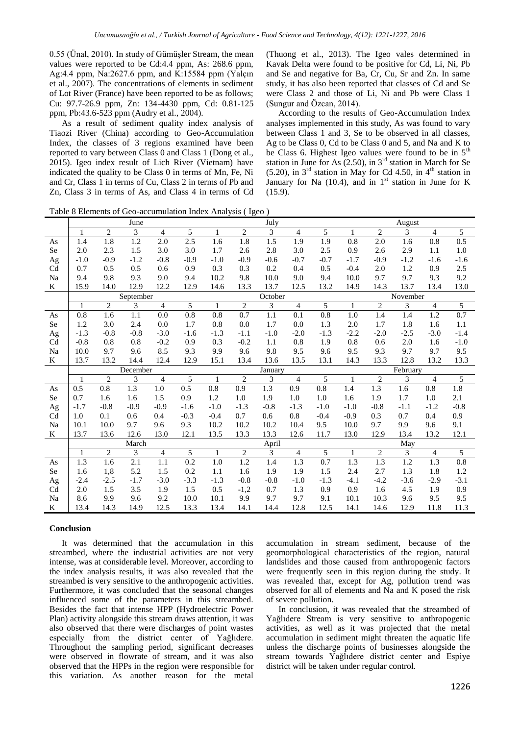0.55 (Ünal, 2010). In study of Gümüşler Stream, the mean values were reported to be Cd:4.4 ppm, As: 268.6 ppm, Ag:4.4 ppm, Na:2627.6 ppm, and K:15584 ppm (Yalçın et al., 2007). The concentrations of elements in sediment of Lot River (France) have been reported to be as follows; Cu: 97.7-26.9 ppm, Zn: 134-4430 ppm, Cd: 0.81-125 ppm, Pb:43.6-523 ppm (Audry et al., 2004).

As a result of sediment quality index analysis of Tiaozi River (China) according to Geo-Accumulation Index, the classes of 3 regions examined have been reported to vary between Class 0 and Class 1 (Dong et al., 2015). Igeo index result of Lich River (Vietnam) have indicated the quality to be Class 0 in terms of Mn, Fe, Ni and Cr, Class 1 in terms of Cu, Class 2 in terms of Pb and Zn, Class 3 in terms of As, and Class 4 in terms of Cd

(Thuong et al., 2013). The Igeo vales determined in Kavak Delta were found to be positive for Cd, Li, Ni, Pb and Se and negative for Ba, Cr, Cu, Sr and Zn. In same study, it has also been reported that classes of Cd and Se were Class 2 and those of Li, Ni and Pb were Class 1 (Sungur and Özcan, 2014).

According to the results of Geo-Accumulation Index analyses implemented in this study, As was found to vary between Class 1 and 3, Se to be observed in all classes, Ag to be Class 0, Cd to be Class 0 and 5, and Na and K to be Class 6. Highest Igeo values were found to be in  $5<sup>th</sup>$ station in June for As  $(2.50)$ , in  $3<sup>rd</sup>$  station in March for Se (5.20), in  $3<sup>rd</sup>$  station in May for Cd 4.50, in  $4<sup>th</sup>$  station in January for Na (10.4), and in  $1<sup>st</sup>$  station in June for K (15.9).

Table 8 Elements of Geo-accumulation Index Analysis ( Igeo )

|                |              |                  | June           |                  |                  |                  | July             |                |                |                  | August           |                  |                  |                  |                  |
|----------------|--------------|------------------|----------------|------------------|------------------|------------------|------------------|----------------|----------------|------------------|------------------|------------------|------------------|------------------|------------------|
|                | $\mathbf{1}$ | $\overline{2}$   | 3              | $\overline{4}$   | 5                | $\mathbf{1}$     | $\overline{2}$   | 3              | $\overline{4}$ | 5                | $\mathbf{1}$     | $\overline{c}$   | 3                | $\overline{4}$   | 5                |
| As             | 1.4          | 1.8              | 1.2            | 2.0              | 2.5              | 1.6              | 1.8              | 1.5            | 1.9            | 1.9              | 0.8              | 2.0              | 1.6              | 0.8              | 0.5              |
| Se             | 2.0          | 2.3              | 1.5            | 3.0              | 3.0              | 1.7              | 2.6              | 2.8            | 3.0            | 2.5              | 0.9              | 2.6              | 2.9              | 1.1              | 1.0              |
| Ag             | $-1.0$       | $-0.9$           | $-1.2$         | $-0.8$           | $-0.9$           | $-1.0$           | $-0.9$           | $-0.6$         | $-0.7$         | $-0.7$           | $-1.7$           | $-0.9$           | $-1.2$           | $-1.6$           | $-1.6$           |
| C <sub>d</sub> | 0.7          | 0.5              | 0.5            | 0.6              | 0.9              | 0.3              | 0.3              | 0.2            | 0.4            | 0.5              | $-0.4$           | 2.0              | 1.2              | 0.9              | 2.5              |
| Na             | 9.4          | 9.8              | 9.3            | 9.0              | 9.4              | 10.2             | 9.8              | 10.0           | 9.0            | 9.4              | 10.0             | 9.7              | 9.7              | 9.3              | 9.2              |
| K              | 15.9         | 14.0             | 12.9           | 12.2             | 12.9             | 14.6             | 13.3             | 13.7           | 12.5           | 13.2             | 14.9             | 14.3             | 13.7             | 13.4             | 13.0             |
|                |              |                  | September      |                  |                  |                  |                  | October        |                |                  |                  |                  | November         |                  |                  |
|                | $\mathbf{1}$ | 2                | $\overline{3}$ | $\overline{4}$   | $\overline{5}$   | $\mathbf{1}$     | $\overline{2}$   | $\overline{3}$ | 4              | 5                | $\mathbf{1}$     | 2                | $\overline{3}$   | $\overline{4}$   | 5                |
| As             | $0.8\,$      | 1.6              | 1.1            | 0.0              | 0.8              | $\overline{0.8}$ | 0.7              | 1.1            | 0.1            | $\overline{0.8}$ | $\overline{1.0}$ | 1.4              | 1.4              | $\overline{1.2}$ | 0.7              |
| Se             | 1.2          | 3.0              | 2.4            | 0.0              | 1.7              | 0.8              | 0.0              | 1.7            | 0.0            | 1.3              | 2.0              | 1.7              | 1.8              | 1.6              | 1.1              |
| Ag             | $-1.3$       | $-0.8$           | $-0.8$         | $-3.0$           | $-1.6$           | $-1.3$           | $-1.1$           | $-1.0$         | $-2.0$         | $-1.3$           | $-2.2$           | $-2.0$           | $-2.5$           | $-3.0$           | $-1.4$           |
| Cd             | $-0.8$       | 0.8              | 0.8            | $-0.2$           | 0.9              | 0.3              | $-0.2$           | 1.1            | 0.8            | 1.9              | 0.8              | 0.6              | 2.0              | 1.6              | $-1.0$           |
| Na             | 10.0         | 9.7              | 9.6            | 8.5              | 9.3              | 9.9              | 9.6              | 9.8            | 9.5            | 9.6              | 9.5              | 9.3              | 9.7              | 9.7              | 9.5              |
| K              | 13.7         | 13.2             | 14.4           | 12.4             | 12.9             | 15.1             | 13.4             | 13.6           | 13.5           | 13.1             | 14.3             | 13.3             | 12.8             | 13.2             | 13.3             |
|                |              |                  | December       |                  |                  |                  | January          |                |                |                  | February         |                  |                  |                  |                  |
|                | $\mathbf{1}$ | $\overline{2}$   | 3              | $\overline{4}$   | 5                | $\mathbf{1}$     | $\mathfrak{2}$   | 3              | $\overline{4}$ | 5                | $\mathbf{1}$     | $\overline{2}$   | 3                | $\overline{4}$   | $\overline{5}$   |
| As             | 0.5          | $\overline{0.8}$ | 1.3            | 1.0              | 0.5              | 0.8              | 0.9              | 1.3            | 0.9            | $\overline{0.8}$ | 1.4              | 1.3              | 1.6              | 0.8              | 1.8              |
| <b>Se</b>      | 0.7          | 1.6              | 1.6            | 1.5              | 0.9              | 1.2              | 1.0              | 1.9            | 1.0            | 1.0              | 1.6              | 1.9              | 1.7              | 1.0              | 2.1              |
| Ag             | $-1.7$       | $-0.8$           | $-0.9$         | $-0.9$           | $-1.6$           | $-1.0$           | $-1.3$           | $-0.8$         | $-1.3$         | $-1.0$           | $-1.0$           | $-0.8$           | $-1.1$           | $-1.2$           | $-0.8$           |
| C <sub>d</sub> | 1.0          | 0.1              | 0.6            | 0.4              | $-0.3$           | $-0.4$           | 0.7              | 0.6            | 0.8            | $-0.4$           | $-0.9$           | 0.3              | 0.7              | 0.4              | 0.9              |
| Na             | 10.1         | 10.0             | 9.7            | 9.6              | 9.3              | 10.2             | 10.2             | 10.2           | 10.4           | 9.5              | 10.0             | 9.7              | 9.9              | 9.6              | 9.1              |
| K              | 13.7         | 13.6             | 12.6           | 13.0             | 12.1             | 13.5             | 13.3             | 13.3           | 12.6           | 11.7             | 13.0             | 12.9             | 13.4             | 13.2             | 12.1             |
|                |              |                  | March          |                  |                  |                  |                  | April          |                |                  |                  |                  | May              |                  |                  |
|                | $\mathbf{1}$ | $\overline{c}$   | 3              | $\overline{4}$   | 5                | $\mathbf{1}$     | $\overline{2}$   | 3              | 4              | 5                | $\mathbf{1}$     | 2                | 3                | $\overline{4}$   | 5                |
| As             | 1.3          | 1.6              | 2.1            | $\overline{1.1}$ | $\overline{0.2}$ | 1.0              | $\overline{1.2}$ | 1.4            | 1.3            | $\overline{0.7}$ | $\overline{1.3}$ | $\overline{1.3}$ | $\overline{1.2}$ | $\overline{1.3}$ | $\overline{0.8}$ |
| Se             | 1.6          | 1,8              | 5.2            | 1.5              | 0.2              | 1.1              | 1.6              | 1.9            | 1.9            | 1.5              | 2.4              | 2.7              | 1.3              | 1.8              | 1.2              |
| Ag             | $-2.4$       | $-2.5$           | $-1.7$         | $-3.0$           | $-3.3$           | $-1.3$           | $-0.8$           | $-0.8$         | $-1.0$         | $-1.3$           | $-4.1$           | $-4.2$           | $-3.6$           | $-2.9$           | $-3.1$           |
| Cd             | 2.0          | 1.5              | 3.5            | 1.9              | 1.5              | 0.5              | $-1,2$           | 0.7            | 1.3            | 0.9              | 0.9              | 1.6              | 4.5              | 1.9              | 0.9              |
| Na             | 8.6          | 9.9              | 9.6            | 9.2              | 10.0             | 10.1             | 9.9              | 9.7            | 9.7            | 9.1              | 10.1             | 10.3             | 9.6              | 9.5              | 9.5              |
| K              | 13.4         | 14.3             | 14.9           | 12.5             | 13.3             | 13.4             | 14.1             | 14.4           | 12.8           | 12.5             | 14.1             | 14.6             | 12.9             | 11.8             | 11.3             |

#### **Conclusion**

It was determined that the accumulation in this streambed, where the industrial activities are not very intense, was at considerable level. Moreover, according to the index analysis results, it was also revealed that the streambed is very sensitive to the anthropogenic activities. Furthermore, it was concluded that the seasonal changes influenced some of the parameters in this streambed. Besides the fact that intense HPP (Hydroelectric Power Plan) activity alongside this stream draws attention, it was also observed that there were discharges of point wastes especially from the district center of Yağlıdere. Throughout the sampling period, significant decreases were observed in flowrate of stream, and it was also observed that the HPPs in the region were responsible for this variation. As another reason for the metal accumulation in stream sediment, because of the geomorphological characteristics of the region, natural landslides and those caused from anthropogenic factors were frequently seen in this region during the study. It was revealed that, except for Ag, pollution trend was observed for all of elements and Na and K posed the risk of severe pollution.

In conclusion, it was revealed that the streambed of Yağlıdere Stream is very sensitive to anthropogenic activities, as well as it was projected that the metal accumulation in sediment might threaten the aquatic life unless the discharge points of businesses alongside the stream towards Yağlıdere district center and Espiye district will be taken under regular control.